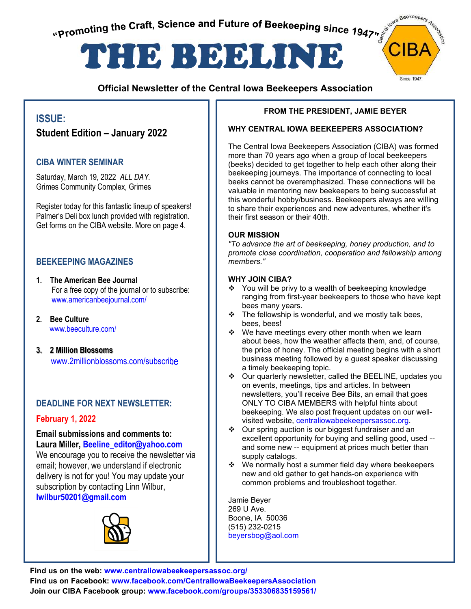promoting the Craft, Science and Future of Beekeeping since 1947"





### **Official Newsletter of the Central Iowa Beekeepers Association**

### **ISSUE:**

**Student Edition – January 2022**

### **CIBA WINTER SEMINAR**

Saturday, March 19, 2022 *ALL DAY.* Grimes Community Complex, Grimes

Register today for this fantastic lineup of speakers! Palmer's Deli box lunch provided with registration. Get forms on the CIBA website. More on page 4.

### **BEEKEEPING MAGAZINES**

- **1. The American Bee Journal**  For a free copy of the journal or to subscribe: www.americanbeejournal.com/
- **2. Bee Culture** www.beeculture.com/
- **3. 2 Million Blossoms** www.2millionblossoms.com/subscribe

### **DEADLINE FOR NEXT NEWSLETTER:**

### **February 1, 2022**

#### **Email submissions and comments to: Laura Miller, Beeline\_editor@yahoo.com**

We encourage you to receive the newsletter via email; however, we understand if electronic delivery is not for you! You may update your subscription by contacting Linn Wilbur, **lwilbur50201@gmail.com** 



#### **FROM THE PRESIDENT, JAMIE BEYER**

#### **WHY CENTRAL IOWA BEEKEEPERS ASSOCIATION?**

The Central Iowa Beekeepers Association (CIBA) was formed more than 70 years ago when a group of local beekeepers (beeks) decided to get together to help each other along their beekeeping journeys. The importance of connecting to local beeks cannot be overemphasized. These connections will be valuable in mentoring new beekeepers to being successful at this wonderful hobby/business. Beekeepers always are willing to share their experiences and new adventures, whether it's their first season or their 40th.

#### **OUR MISSION**

*"To advance the art of beekeeping, honey production, and to promote close coordination, cooperation and fellowship among members."* 

#### **WHY JOIN CIBA?**

- $\div$  You will be privy to a wealth of beekeeping knowledge ranging from first-year beekeepers to those who have kept bees many years.
- $\div$  The fellowship is wonderful, and we mostly talk bees, bees, bees!
- $\div$  We have meetings every other month when we learn about bees, how the weather affects them, and, of course, the price of honey. The official meeting begins with a short business meeting followed by a guest speaker discussing a timely beekeeping topic.
- Our quarterly newsletter, called the BEELINE, updates you on events, meetings, tips and articles. In between newsletters, you'll receive Bee Bits, an email that goes ONLY TO CIBA MEMBERS with helpful hints about beekeeping. We also post frequent updates on our wellvisited web[site, centraliowabeekeepersassoc.org.](https://www.centraliowabeekeepersassoc.org/)
- ❖ Our spring auction is our biggest fundraiser and an excellent opportunity for buying and selling good, used - and some new -- equipment at prices much better than supply catalogs.
- $\div$  We normally host a summer field day where beekeepers new and old gather to get hands-on experience with common problems and troubleshoot together.

Jamie Beyer 269 U Ave. Boone, IA 50036 (515) 232-0215 [beyersbog@aol.com](mailto:beyersbog@aol.com)

**Find us on the web: [www.centraliowabeekeepersassoc.org/](https://www.centraliowabeekeepersassoc.org/)  Find us on Facebook: [www.facebook.com/CentralIowaBeekeepersAssociation](http://www.facebook.com/CentralIowaBeekeepersAssociation)  Join our CIBA Facebook group: [www.facebook.com/groups/353306835159561/](https://www.facebook.com/groups/353306835159561/)**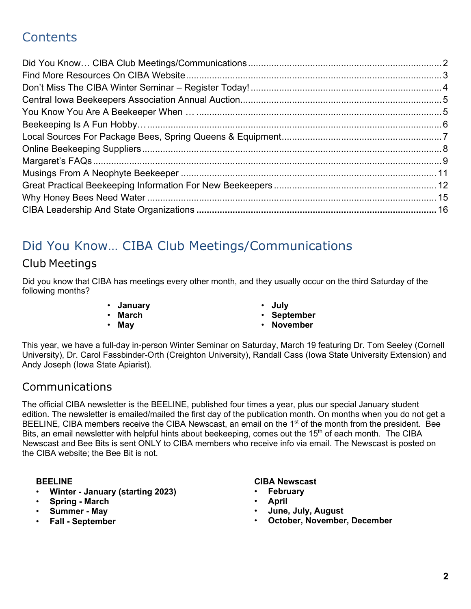# **Contents**

# <span id="page-1-0"></span>Did You Know… CIBA Club Meetings/Communications

## Club Meetings

Did you know that CIBA has meetings every other month, and they usually occur on the third Saturday of the following months?

- **January**
- **March**
- **May**
- **July**
- **September**
- **November**

This year, we have a full-day in-person Winter Seminar on Saturday, March 19 featuring Dr. Tom Seeley (Cornell University), Dr. Carol Fassbinder-Orth (Creighton University), Randall Cass (Iowa State University Extension) and Andy Joseph (Iowa State Apiarist).

## Communications

The official CIBA newsletter is the BEELINE, published four times a year, plus our special January student edition. The newsletter is emailed/mailed the first day of the publication month. On months when you do not get a BEELINE, CIBA members receive the CIBA Newscast, an email on the 1<sup>st</sup> of the month from the president. Bee Bits, an email newsletter with helpful hints about beekeeping, comes out the 15<sup>th</sup> of each month. The CIBA Newscast and Bee Bits is sent ONLY to CIBA members who receive info via email. The Newscast is posted on the CIBA website; the Bee Bit is not.

### **BEELINE**

- **Winter January (starting 2023)**
- **Spring March**
- **Summer May**
- **Fall September**

### **CIBA Newscast**

- **February**
- **April**
- **June, July, August**
- **October, November, December**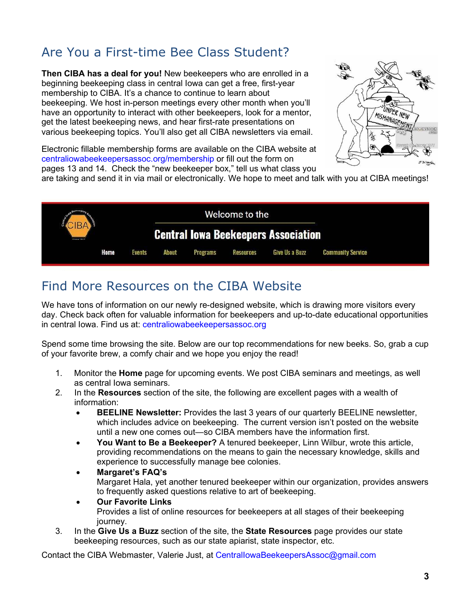# Are You a First-time Bee Class Student?

**Then CIBA has a deal for you!** New beekeepers who are enrolled in a beginning beekeeping class in central Iowa can get a free, first-year membership to CIBA. It's a chance to continue to learn about beekeeping. We host in-person meetings every other month when you'll have an opportunity to interact with other beekeepers, look for a mentor, get the latest beekeeping news, and hear first-rate presentations on various beekeeping topics. You'll also get all CIBA newsletters via email.



Electronic fillable membership forms are available on the CIBA website at [centraliowabeekeepersassoc.org/membership](https://www.centraliowabeekeepersassoc.org/membership) or fill out the form on pages 13 and 14. Check the "new beekeeper box," tell us what class you

are taking and send it in via mail or electronically. We hope to meet and talk with you at CIBA meetings!



## <span id="page-2-0"></span>Find More Resources on the CIBA Website

We have tons of information on our newly re-designed website, which is drawing more visitors every day. Check back often for valuable information for beekeepers and up-to-date educational opportunities in central Iowa. Find us at: [centraliowabeekeepersassoc.org](https://centraliowabeekeepersassoc.org/)

Spend some time browsing the site. Below are our top recommendations for new beeks. So, grab a cup of your favorite brew, a comfy chair and we hope you enjoy the read!

- 1. Monitor the **Home** page for upcoming events. We post CIBA seminars and meetings, as well as central Iowa seminars.
- 2. In the **Resources** section of the site, the following are excellent pages with a wealth of information:
	- **BEELINE Newsletter:** Provides the last 3 years of our quarterly BEELINE newsletter, which includes advice on beekeeping. The current version isn't posted on the website until a new one comes out—so CIBA members have the information first.
	- **You Want to Be a Beekeeper?** A tenured beekeeper, Linn Wilbur, wrote this article, providing recommendations on the means to gain the necessary knowledge, skills and experience to successfully manage bee colonies.
	- **Margaret's FAQ's**  Margaret Hala, yet another tenured beekeeper within our organization, provides answers to frequently asked questions relative to art of beekeeping.
	- **Our Favorite Links**  Provides a list of online resources for beekeepers at all stages of their beekeeping journey.
- 3. In the **Give Us a Buzz** section of the site, the **State Resources** page provides our state beekeeping resources, such as our state apiarist, state inspector, etc.

Contact the CIBA Webmaster, Valerie Just, at [CentralIowaBeekeepersAssoc@gmail.com](mailto:CentralIowaBeekeepersAssoc@gmail.com)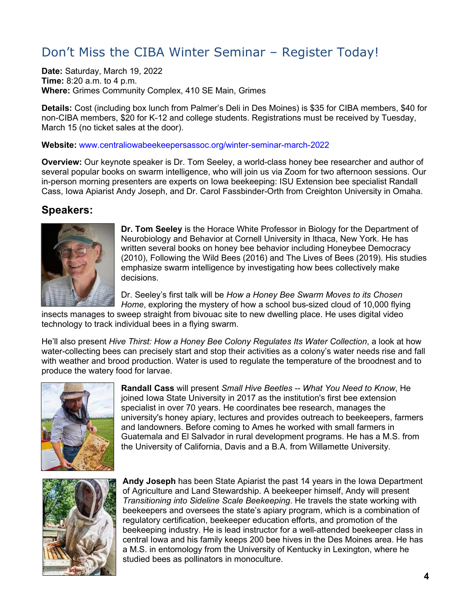# <span id="page-3-0"></span>Don't Miss the CIBA Winter Seminar – Register Today!

**Date:** Saturday, March 19, 2022 **Time:** 8:20 a.m. to 4 p.m. **Where:** Grimes Community Complex, 410 SE Main, Grimes

**Details:** Cost (including box lunch from Palmer's Deli in Des Moines) is \$35 for CIBA members, \$40 for non-CIBA members, \$20 for K-12 and college students. Registrations must be received by Tuesday, March 15 (no ticket sales at the door).

#### **Website:** [www.centraliowabeekeepersassoc.org/winter-seminar-march-2022](https://www.centraliowabeekeepersassoc.org/winter-seminar-march-2022)

**Overview:** Our keynote speaker is Dr. Tom Seeley, a world-class honey bee researcher and author of several popular books on swarm intelligence, who will join us via Zoom for two afternoon sessions. Our in-person morning presenters are experts on Iowa beekeeping: ISU Extension bee specialist Randall Cass, Iowa Apiarist Andy Joseph, and Dr. Carol Fassbinder-Orth from Creighton University in Omaha.

## **Speakers:**



**Dr. Tom Seeley** is the Horace White Professor in Biology for the Department of Neurobiology and Behavior at Cornell University in Ithaca, New York. He has written several books on honey bee behavior including Honeybee Democracy (2010), Following the Wild Bees (2016) and The Lives of Bees (2019). His studies emphasize swarm intelligence by investigating how bees collectively make decisions.

Dr. Seeley's first talk will be *How a Honey Bee Swarm Moves to its Chosen Home*, exploring the mystery of how a school bus-sized cloud of 10,000 flying

insects manages to sweep straight from bivouac site to new dwelling place. He uses digital video technology to track individual bees in a flying swarm.

He'll also present *Hive Thirst: How a Honey Bee Colony Regulates Its Water Collection*, a look at how water-collecting bees can precisely start and stop their activities as a colony's water needs rise and fall with weather and brood production. Water is used to regulate the temperature of the broodnest and to produce the watery food for larvae.



**Randall Cass** will present *Small Hive Beetles -- What You Need to Know*, He joined Iowa State University in 2017 as the institution's first bee extension specialist in over 70 years. He coordinates bee research, manages the university's honey apiary, lectures and provides outreach to beekeepers, farmers and landowners. Before coming to Ames he worked with small farmers in Guatemala and El Salvador in rural development programs. He has a M.S. from the University of California, Davis and a B.A. from Willamette University.



**Andy Joseph** has been State Apiarist the past 14 years in the Iowa Department of Agriculture and Land Stewardship. A beekeeper himself, Andy will present *Transitioning into Sideline Scale Beekeeping*. He travels the state working with beekeepers and oversees the state's apiary program, which is a combination of regulatory certification, beekeeper education efforts, and promotion of the beekeeping industry. He is lead instructor for a well-attended beekeeper class in central Iowa and his family keeps 200 bee hives in the Des Moines area. He has a M.S. in entomology from the University of Kentucky in Lexington, where he studied bees as pollinators in monoculture.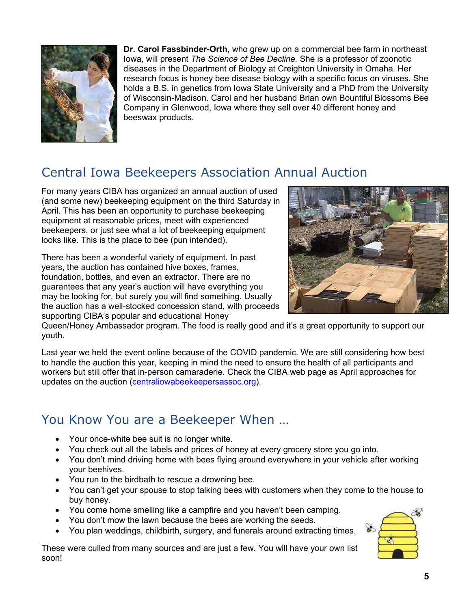

**Dr. Carol Fassbinder-Orth,** who grew up on a commercial bee farm in northeast Iowa, will present *The Science of Bee Decline.* She is a professor of zoonotic diseases in the Department of Biology at Creighton University in Omaha. Her research focus is honey bee disease biology with a specific focus on viruses. She holds a B.S. in genetics from Iowa State University and a PhD from the University of Wisconsin-Madison. Carol and her husband Brian own Bountiful Blossoms Bee Company in Glenwood, Iowa where they sell over 40 different honey and beeswax products.

# <span id="page-4-0"></span>Central Iowa Beekeepers Association Annual Auction

For many years CIBA has organized an annual auction of used (and some new) beekeeping equipment on the third Saturday in April. This has been an opportunity to purchase beekeeping equipment at reasonable prices, meet with experienced beekeepers, or just see what a lot of beekeeping equipment looks like. This is the place to bee (pun intended).

There has been a wonderful variety of equipment. In past years, the auction has contained hive boxes, frames, foundation, bottles, and even an extractor. There are no guarantees that any year's auction will have everything you may be looking for, but surely you will find something. Usually the auction has a well-stocked concession stand, with proceeds supporting CIBA's popular and educational Honey



Queen/Honey Ambassador program. The food is really good and it's a great opportunity to support our youth.

Last year we held the event online because of the COVID pandemic. We are still considering how best to handle the auction this year, keeping in mind the need to ensure the health of all participants and workers but still offer that in-person camaraderie. Check the CIBA web page as April approaches for updates on the auction [\(centraliowabeekeepersassoc.org\)](https://www.centraliowabeekeepersassoc.org/).

## <span id="page-4-1"></span>You Know You are a Beekeeper When …

- Your once-white bee suit is no longer white.
- You check out all the labels and prices of honey at every grocery store you go into.
- You don't mind driving home with bees flying around everywhere in your vehicle after working your beehives.
- You run to the birdbath to rescue a drowning bee.
- You can't get your spouse to stop talking bees with customers when they come to the house to buy honey.
- You come home smelling like a campfire and you haven't been camping.
- You don't mow the lawn because the bees are working the seeds.
- You plan weddings, childbirth, surgery, and funerals around extracting times.

These were culled from many sources and are just a few. You will have your own list soon!

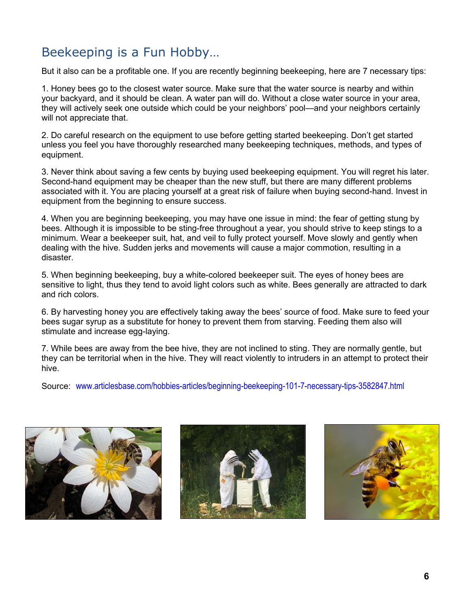# <span id="page-5-0"></span>Beekeeping is a Fun Hobby…

But it also can be a profitable one. If you are recently beginning beekeeping, here are 7 necessary tips:

1. Honey bees go to the closest water source. Make sure that the water source is nearby and within your backyard, and it should be clean. A water pan will do. Without a close water source in your area, they will actively seek one outside which could be your neighbors' pool—and your neighbors certainly will not appreciate that.

2. Do careful research on the equipment to use before getting started beekeeping. Don't get started unless you feel you have thoroughly researched many beekeeping techniques, methods, and types of equipment.

3. Never think about saving a few cents by buying used beekeeping equipment. You will regret his later. Second-hand equipment may be cheaper than the new stuff, but there are many different problems associated with it. You are placing yourself at a great risk of failure when buying second-hand. Invest in equipment from the beginning to ensure success.

4. When you are beginning beekeeping, you may have one issue in mind: the fear of getting stung by bees. Although it is impossible to be sting-free throughout a year, you should strive to keep stings to a minimum. Wear a beekeeper suit, hat, and veil to fully protect yourself. Move slowly and gently when dealing with the hive. Sudden jerks and movements will cause a major commotion, resulting in a disaster.

5. When beginning beekeeping, buy a white-colored beekeeper suit. The eyes of honey bees are sensitive to light, thus they tend to avoid light colors such as white. Bees generally are attracted to dark and rich colors.

6. By harvesting honey you are effectively taking away the bees' source of food. Make sure to feed your bees sugar syrup as a substitute for honey to prevent them from starving. Feeding them also will stimulate and increase egg-laying.

7. While bees are away from the bee hive, they are not inclined to sting. They are normally gentle, but they can be territorial when in the hive. They will react violently to intruders in an attempt to protect their hive.

Source: [www.articlesbase.com/hobbies-articles/beginning-beekeeping-101-7-necessary-tips-3582847.html](http://www.articlesbase.com/hobbies-articles/beginning-beekeeping-101-7-necessary-tips-3582847.html) 





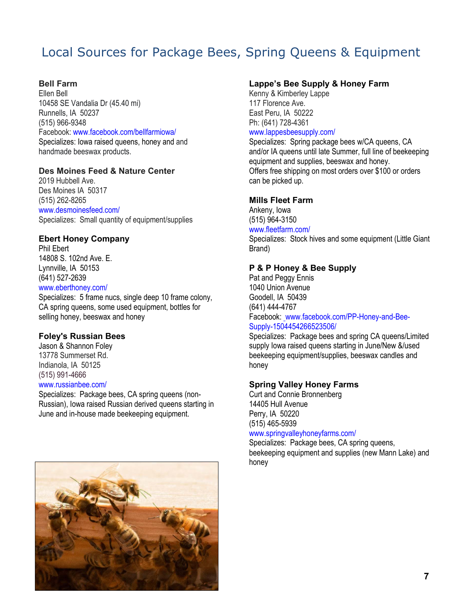# <span id="page-6-0"></span>Local Sources for Package Bees, Spring Queens & Equipment

#### **Bell Farm**

Ellen Bell 10458 SE Vandalia Dr (45.40 mi) Runnells, IA 50237 (515) 966-9348 Facebook: [www.facebook.com/bellfarmiowa/](http://www.facebook.com/bellfarmiowa/) Specializes: Iowa raised queens, honey and and handmade beeswax products.

#### **Des Moines Feed & Nature Center**

2019 Hubbell Ave. Des Moines IA 50317 (515) 262-8265 [www.desmoinesfeed.com/](https://www.desmoinesfeed.com/)

Specializes: Small quantity of equipment/supplies

#### **Ebert Honey Company**

Phil Ebert 14808 S. 102nd Ave. E. Lynnville, IA 50153 (641) 527-2639

### [www.eberthoney.com/](http://www.eberthoney.com/)

Specializes: 5 frame nucs, single deep 10 frame colony, CA spring queens, some used equipment, bottles for selling honey, beeswax and honey

#### **Foley's Russian Bees**

Jason & Shannon Foley 13778 Summerset Rd. Indianola, IA 50125 (515) 991-4666

### [www.russianbee.com/](https://www.russianbee.com/)

Specializes: Package bees, CA spring queens (non-Russian), Iowa raised Russian derived queens starting in June and in-house made beekeeping equipment.



#### **Lappe's Bee Supply & Honey Farm**

Kenny & Kimberley Lappe 117 Florence Ave. East Peru, IA 50222 Ph: (641) 728-4361 [www.lappesbeesupply.com/](https://www.lappesbeesupply.com/) 

Specializes: Spring package bees w/CA queens, CA and/or IA queens until late Summer, full line of beekeeping equipment and supplies, beeswax and honey. Offers free shipping on most orders over \$100 or orders can be picked up.

#### **Mills Fleet Farm**

Ankeny, Iowa (515) 964-3150

### [www.fleetfarm.com/](https://www.fleetfarm.com/)

Specializes: Stock hives and some equipment (Little Giant Brand)

#### **P & P Honey & Bee Supply**

Pat and Peggy Ennis 1040 Union Avenue Goodell, IA 50439 (641) 444-4767 Facebook: [www.facebook.com/PP-Honey-and-Bee-](https://www.facebook.com/PP-Honey-and-Bee-Supply-1504454266523506/)[Supply-1504454266523506/](https://www.facebook.com/PP-Honey-and-Bee-Supply-1504454266523506/)

Specializes: Package bees and spring CA queens/Limited supply Iowa raised queens starting in June/New &/used beekeeping equipment/supplies, beeswax candles and honey

#### **Spring Valley Honey Farms**

Curt and Connie Bronnenberg 14405 Hull Avenue Perry, IA 50220 (515) 465-5939

#### [www.springvalleyhoneyfarms.com/](http://www.springvalleyhoneyfarms.com/)

Specializes: Package bees, CA spring queens, beekeeping equipment and supplies (new Mann Lake) and honey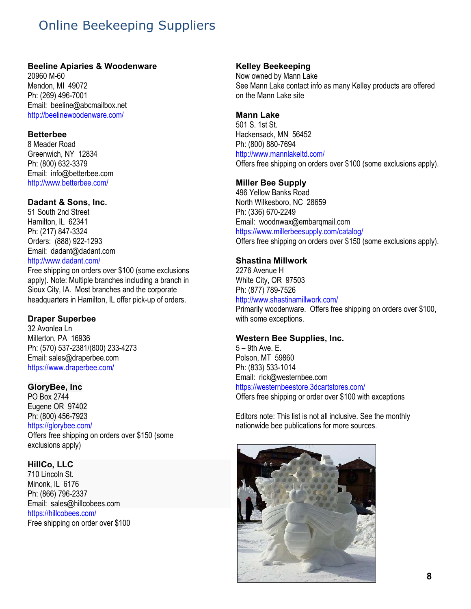# <span id="page-7-0"></span>Online Beekeeping Suppliers

#### **Beeline Apiaries & Woodenware**

20960 M-60 Mendon, MI 49072 Ph: (269) 496-7001 Email: beeline@abcmailbox.net <http://beelinewoodenware.com/>

#### **Betterbee**

8 Meader Road Greenwich, NY 12834 Ph: (800) 632-3379 Email: info@betterbee.com <http://www.betterbee.com/>

#### **Dadant & Sons, Inc.**

51 South 2nd Street Hamilton, IL 62341 Ph: (217) 847-3324 Orders: (888) 922-1293 Email: dadant@dadant.com <http://www.dadant.com/>

Free shipping on orders over \$100 (some exclusions apply). Note: Multiple branches including a branch in Sioux City, IA. Most branches and the corporate headquarters in Hamilton, IL offer pick-up of orders.

#### **Draper Superbee**

32 Avonlea Ln Millerton, PA 16936 Ph: (570) 537-2381/(800) 233-4273 Email: sales@draperbee.com <https://www.draperbee.com/>

#### **GloryBee, Inc**

PO Box 2744 Eugene OR 97402 Ph: (800) 456-7923 <https://glorybee.com/>

Offers free shipping on orders over \$150 (some exclusions apply)

#### **HillCo, LLC**

710 Lincoln St. Minonk, IL 6176 Ph: (866) 796-2337 Email: sales@hillcobees.com <https://hillcobees.com/> Free shipping on order over \$100

#### **Kelley Beekeeping**

Now owned by Mann Lake See Mann Lake contact info as many Kelley products are offered on the Mann Lake site

#### **Mann Lake**

501 S. 1st St. Hackensack, MN 56452 Ph: (800) 880-7694 <http://www.mannlakeltd.com/> Offers free shipping on orders over \$100 (some exclusions apply).

#### **Miller Bee Supply**

496 Yellow Banks Road North Wilkesboro, NC 28659 Ph: (336) 670-2249 Email: woodnwax@embarqmail.com <https://www.millerbeesupply.com/catalog/> Offers free shipping on orders over \$150 (some exclusions apply).

#### **Shastina Millwork**

2276 Avenue H White City, OR 97503 Ph: (877) 789-7526 <http://www.shastinamillwork.com/> Primarily woodenware. Offers free shipping on orders over \$100, with some exceptions.

#### **Western Bee Supplies, Inc.**

5 – 9th Ave. E. Polson, MT 59860 Ph: (833) 533-1014 Email: rick@westernbee.com <https://westernbeestore.3dcartstores.com/> Offers free shipping or order over \$100 with exceptions

Editors note: This list is not all inclusive. See the monthly nationwide bee publications for more sources.

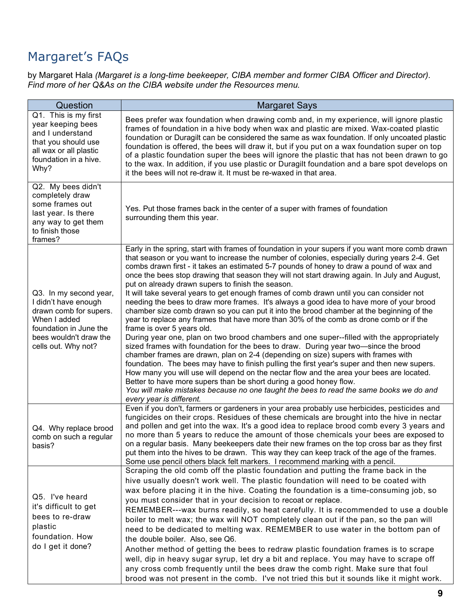# <span id="page-8-0"></span>Margaret's FAQs

by Margaret Hala *(Margaret is a long-time beekeeper, CIBA member and former CIBA Officer and Director). Find more of her Q&As on the CIBA website under the Resources menu.* 

| Question                                                                                                                                                            | <b>Margaret Says</b>                                                                                                                                                                                                                                                                                                                                                                                                                                                                                                                                                                                                                                                                                                                                                                                                                                                                                                                                                                                                                                                                                                                                                                                                                                                                                                                                                                                                                                                                                                        |
|---------------------------------------------------------------------------------------------------------------------------------------------------------------------|-----------------------------------------------------------------------------------------------------------------------------------------------------------------------------------------------------------------------------------------------------------------------------------------------------------------------------------------------------------------------------------------------------------------------------------------------------------------------------------------------------------------------------------------------------------------------------------------------------------------------------------------------------------------------------------------------------------------------------------------------------------------------------------------------------------------------------------------------------------------------------------------------------------------------------------------------------------------------------------------------------------------------------------------------------------------------------------------------------------------------------------------------------------------------------------------------------------------------------------------------------------------------------------------------------------------------------------------------------------------------------------------------------------------------------------------------------------------------------------------------------------------------------|
| Q1. This is my first<br>year keeping bees<br>and I understand<br>that you should use<br>all wax or all plastic<br>foundation in a hive.<br>Why?                     | Bees prefer wax foundation when drawing comb and, in my experience, will ignore plastic<br>frames of foundation in a hive body when wax and plastic are mixed. Wax-coated plastic<br>foundation or Duragilt can be considered the same as wax foundation. If only uncoated plastic<br>foundation is offered, the bees will draw it, but if you put on a wax foundation super on top<br>of a plastic foundation super the bees will ignore the plastic that has not been drawn to go<br>to the wax. In addition, if you use plastic or Duragilt foundation and a bare spot develops on<br>it the bees will not re-draw it. It must be re-waxed in that area.                                                                                                                                                                                                                                                                                                                                                                                                                                                                                                                                                                                                                                                                                                                                                                                                                                                                 |
| Q2. My bees didn't<br>completely draw<br>some frames out<br>last year. Is there<br>any way to get them<br>to finish those<br>frames?                                | Yes. Put those frames back in the center of a super with frames of foundation<br>surrounding them this year.                                                                                                                                                                                                                                                                                                                                                                                                                                                                                                                                                                                                                                                                                                                                                                                                                                                                                                                                                                                                                                                                                                                                                                                                                                                                                                                                                                                                                |
| Q3. In my second year,<br>I didn't have enough<br>drawn comb for supers.<br>When I added<br>foundation in June the<br>bees wouldn't draw the<br>cells out. Why not? | Early in the spring, start with frames of foundation in your supers if you want more comb drawn<br>that season or you want to increase the number of colonies, especially during years 2-4. Get<br>combs drawn first - it takes an estimated 5-7 pounds of honey to draw a pound of wax and<br>once the bees stop drawing that season they will not start drawing again. In July and August,<br>put on already drawn supers to finish the season.<br>It will take several years to get enough frames of comb drawn until you can consider not<br>needing the bees to draw more frames. It's always a good idea to have more of your brood<br>chamber size comb drawn so you can put it into the brood chamber at the beginning of the<br>year to replace any frames that have more than 30% of the comb as drone comb or if the<br>frame is over 5 years old.<br>During year one, plan on two brood chambers and one super--filled with the appropriately<br>sized frames with foundation for the bees to draw. During year two-since the brood<br>chamber frames are drawn, plan on 2-4 (depending on size) supers with frames with<br>foundation. The bees may have to finish pulling the first year's super and then new supers.<br>How many you will use will depend on the nectar flow and the area your bees are located.<br>Better to have more supers than be short during a good honey flow.<br>You will make mistakes because no one taught the bees to read the same books we do and<br>every year is different. |
| Q4. Why replace brood<br>comb on such a regular<br>basis?                                                                                                           | Even if you don't, farmers or gardeners in your area probably use herbicides, pesticides and<br>fungicides on their crops. Residues of these chemicals are brought into the hive in nectar<br>and pollen and get into the wax. It's a good idea to replace brood comb every 3 years and<br>no more than 5 years to reduce the amount of those chemicals your bees are exposed to<br>on a regular basis. Many beekeepers date their new frames on the top cross bar as they first<br>put them into the hives to be drawn. This way they can keep track of the age of the frames.<br>Some use pencil others black felt markers. I recommend marking with a pencil.                                                                                                                                                                                                                                                                                                                                                                                                                                                                                                                                                                                                                                                                                                                                                                                                                                                            |
| Q5. I've heard<br>it's difficult to get<br>bees to re-draw<br>plastic<br>foundation. How<br>do I get it done?                                                       | Scraping the old comb off the plastic foundation and putting the frame back in the<br>hive usually doesn't work well. The plastic foundation will need to be coated with<br>wax before placing it in the hive. Coating the foundation is a time-consuming job, so<br>you must consider that in your decision to recoat or replace.<br>REMEMBER---wax burns readily, so heat carefully. It is recommended to use a double<br>boiler to melt wax; the wax will NOT completely clean out if the pan, so the pan will<br>need to be dedicated to melting wax. REMEMBER to use water in the bottom pan of<br>the double boiler. Also, see Q6.<br>Another method of getting the bees to redraw plastic foundation frames is to scrape<br>well, dip in heavy sugar syrup, let dry a bit and replace. You may have to scrape off<br>any cross comb frequently until the bees draw the comb right. Make sure that foul<br>brood was not present in the comb. I've not tried this but it sounds like it might work.                                                                                                                                                                                                                                                                                                                                                                                                                                                                                                                   |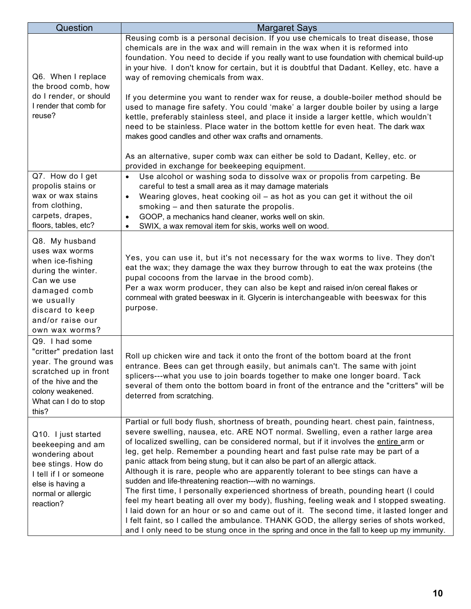| Question                                                                                                                                                                        | <b>Margaret Says</b>                                                                                                                                                                                                                                                                                                                                                                                                                                                                                                                                                                                                                                                                                                                                                                                                                                                                                                                                                                                                                                            |
|---------------------------------------------------------------------------------------------------------------------------------------------------------------------------------|-----------------------------------------------------------------------------------------------------------------------------------------------------------------------------------------------------------------------------------------------------------------------------------------------------------------------------------------------------------------------------------------------------------------------------------------------------------------------------------------------------------------------------------------------------------------------------------------------------------------------------------------------------------------------------------------------------------------------------------------------------------------------------------------------------------------------------------------------------------------------------------------------------------------------------------------------------------------------------------------------------------------------------------------------------------------|
| Q6. When I replace<br>the brood comb, how<br>do I render, or should<br>I render that comb for<br>reuse?                                                                         | Reusing comb is a personal decision. If you use chemicals to treat disease, those<br>chemicals are in the wax and will remain in the wax when it is reformed into<br>foundation. You need to decide if you really want to use foundation with chemical build-up<br>in your hive. I don't know for certain, but it is doubtful that Dadant. Kelley, etc. have a<br>way of removing chemicals from wax.<br>If you determine you want to render wax for reuse, a double-boiler method should be<br>used to manage fire safety. You could 'make' a larger double boiler by using a large<br>kettle, preferably stainless steel, and place it inside a larger kettle, which wouldn't<br>need to be stainless. Place water in the bottom kettle for even heat. The dark wax<br>makes good candles and other wax crafts and ornaments.<br>As an alternative, super comb wax can either be sold to Dadant, Kelley, etc. or<br>provided in exchange for beekeeping equipment.                                                                                            |
| Q7. How do I get<br>propolis stains or<br>wax or wax stains<br>from clothing,<br>carpets, drapes,<br>floors, tables, etc?                                                       | Use alcohol or washing soda to dissolve wax or propolis from carpeting. Be<br>$\bullet$<br>careful to test a small area as it may damage materials<br>Wearing gloves, heat cooking oil - as hot as you can get it without the oil<br>$\bullet$<br>smoking - and then saturate the propolis.<br>GOOP, a mechanics hand cleaner, works well on skin.<br>$\bullet$<br>SWIX, a wax removal item for skis, works well on wood.<br>$\bullet$                                                                                                                                                                                                                                                                                                                                                                                                                                                                                                                                                                                                                          |
| Q8. My husband<br>uses wax worms<br>when ice-fishing<br>during the winter.<br>Can we use<br>damaged comb<br>we usually<br>discard to keep<br>and/or raise our<br>own wax worms? | Yes, you can use it, but it's not necessary for the wax worms to live. They don't<br>eat the wax; they damage the wax they burrow through to eat the wax proteins (the<br>pupal cocoons from the larvae in the brood comb).<br>Per a wax worm producer, they can also be kept and raised in/on cereal flakes or<br>cornmeal with grated beeswax in it. Glycerin is interchangeable with beeswax for this<br>purpose.                                                                                                                                                                                                                                                                                                                                                                                                                                                                                                                                                                                                                                            |
| Q9. I had some<br>"critter" predation last<br>year. The ground was<br>scratched up in front<br>of the hive and the<br>colony weakened.<br>What can I do to stop<br>this?        | Roll up chicken wire and tack it onto the front of the bottom board at the front<br>entrance. Bees can get through easily, but animals can't. The same with joint<br>splicers---what you use to join boards together to make one longer board. Tack<br>several of them onto the bottom board in front of the entrance and the "critters" will be<br>deterred from scratching.                                                                                                                                                                                                                                                                                                                                                                                                                                                                                                                                                                                                                                                                                   |
| Q10. I just started<br>beekeeping and am<br>wondering about<br>bee stings. How do<br>I tell if I or someone<br>else is having a<br>normal or allergic<br>reaction?              | Partial or full body flush, shortness of breath, pounding heart. chest pain, faintness,<br>severe swelling, nausea, etc. ARE NOT normal. Swelling, even a rather large area<br>of localized swelling, can be considered normal, but if it involves the entire arm or<br>leg, get help. Remember a pounding heart and fast pulse rate may be part of a<br>panic attack from being stung, but it can also be part of an allergic attack.<br>Although it is rare, people who are apparently tolerant to bee stings can have a<br>sudden and life-threatening reaction---with no warnings.<br>The first time, I personally experienced shortness of breath, pounding heart (I could<br>feel my heart beating all over my body), flushing, feeling weak and I stopped sweating.<br>I laid down for an hour or so and came out of it. The second time, it lasted longer and<br>I felt faint, so I called the ambulance. THANK GOD, the allergy series of shots worked,<br>and I only need to be stung once in the spring and once in the fall to keep up my immunity. |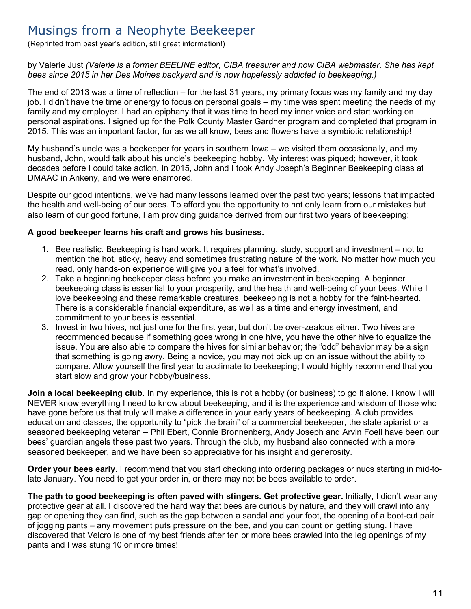## <span id="page-10-0"></span>Musings from a Neophyte Beekeeper

(Reprinted from past year's edition, still great information!)

by Valerie Just *(Valerie is a former BEELINE editor, CIBA treasurer and now CIBA webmaster. She has kept bees since 2015 in her Des Moines backyard and is now hopelessly addicted to beekeeping.)* 

The end of 2013 was a time of reflection – for the last 31 years, my primary focus was my family and my day job. I didn't have the time or energy to focus on personal goals – my time was spent meeting the needs of my family and my employer. I had an epiphany that it was time to heed my inner voice and start working on personal aspirations. I signed up for the Polk County Master Gardner program and completed that program in 2015. This was an important factor, for as we all know, bees and flowers have a symbiotic relationship!

My husband's uncle was a beekeeper for years in southern Iowa – we visited them occasionally, and my husband, John, would talk about his uncle's beekeeping hobby. My interest was piqued; however, it took decades before I could take action. In 2015, John and I took Andy Joseph's Beginner Beekeeping class at DMAAC in Ankeny, and we were enamored.

Despite our good intentions, we've had many lessons learned over the past two years; lessons that impacted the health and well-being of our bees. To afford you the opportunity to not only learn from our mistakes but also learn of our good fortune, I am providing guidance derived from our first two years of beekeeping:

#### **A good beekeeper learns his craft and grows his business.**

- 1. Bee realistic. Beekeeping is hard work. It requires planning, study, support and investment not to mention the hot, sticky, heavy and sometimes frustrating nature of the work. No matter how much you read, only hands-on experience will give you a feel for what's involved.
- 2. Take a beginning beekeeper class before you make an investment in beekeeping. A beginner beekeeping class is essential to your prosperity, and the health and well-being of your bees. While I love beekeeping and these remarkable creatures, beekeeping is not a hobby for the faint-hearted. There is a considerable financial expenditure, as well as a time and energy investment, and commitment to your bees is essential.
- 3. Invest in two hives, not just one for the first year, but don't be over-zealous either. Two hives are recommended because if something goes wrong in one hive, you have the other hive to equalize the issue. You are also able to compare the hives for similar behavior; the "odd" behavior may be a sign that something is going awry. Being a novice, you may not pick up on an issue without the ability to compare. Allow yourself the first year to acclimate to beekeeping; I would highly recommend that you start slow and grow your hobby/business.

**Join a local beekeeping club.** In my experience, this is not a hobby (or business) to go it alone. I know I will NEVER know everything I need to know about beekeeping, and it is the experience and wisdom of those who have gone before us that truly will make a difference in your early years of beekeeping. A club provides education and classes, the opportunity to "pick the brain" of a commercial beekeeper, the state apiarist or a seasoned beekeeping veteran – Phil Ebert, Connie Bronnenberg, Andy Joseph and Arvin Foell have been our bees' guardian angels these past two years. Through the club, my husband also connected with a more seasoned beekeeper, and we have been so appreciative for his insight and generosity.

**Order your bees early.** I recommend that you start checking into ordering packages or nucs starting in mid-tolate January. You need to get your order in, or there may not be bees available to order.

**The path to good beekeeping is often paved with stingers. Get protective gear.** Initially, I didn't wear any protective gear at all. I discovered the hard way that bees are curious by nature, and they will crawl into any gap or opening they can find, such as the gap between a sandal and your foot, the opening of a boot-cut pair of jogging pants – any movement puts pressure on the bee, and you can count on getting stung. I have discovered that Velcro is one of my best friends after ten or more bees crawled into the leg openings of my pants and I was stung 10 or more times!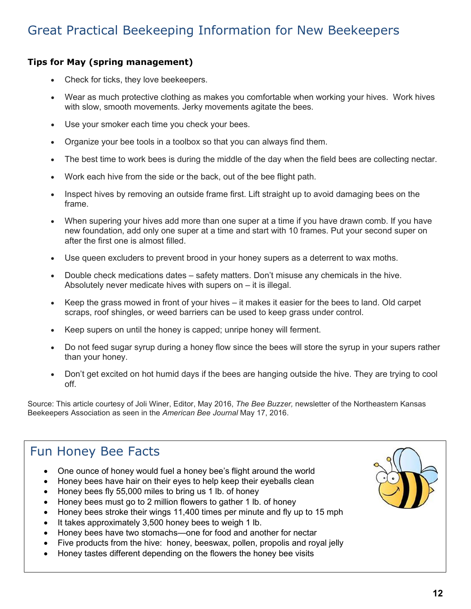## <span id="page-11-0"></span>Great Practical Beekeeping Information for New Beekeepers

### **Tips for May (spring management)**

- Check for ticks, they love beekeepers.
- Wear as much protective clothing as makes you comfortable when working your hives. Work hives with slow, smooth movements. Jerky movements agitate the bees.
- Use your smoker each time you check your bees.
- Organize your bee tools in a toolbox so that you can always find them.
- The best time to work bees is during the middle of the day when the field bees are collecting nectar.
- Work each hive from the side or the back, out of the bee flight path.
- Inspect hives by removing an outside frame first. Lift straight up to avoid damaging bees on the frame.
- When supering your hives add more than one super at a time if you have drawn comb. If you have new foundation, add only one super at a time and start with 10 frames. Put your second super on after the first one is almost filled.
- Use queen excluders to prevent brood in your honey supers as a deterrent to wax moths.
- Double check medications dates safety matters. Don't misuse any chemicals in the hive. Absolutely never medicate hives with supers on – it is illegal.
- Keep the grass mowed in front of your hives it makes it easier for the bees to land. Old carpet scraps, roof shingles, or weed barriers can be used to keep grass under control.
- Keep supers on until the honey is capped; unripe honey will ferment.
- Do not feed sugar syrup during a honey flow since the bees will store the syrup in your supers rather than your honey.
- Don't get excited on hot humid days if the bees are hanging outside the hive. They are trying to cool off.

Source: This article courtesy of Joli Winer, Editor, May 2016, *The Bee Buzzer,* newsletter of the Northeastern Kansas Beekeepers Association as seen in the *American Bee Journal* May 17, 2016.

## Fun Honey Bee Facts

- One ounce of honey would fuel a honey bee's flight around the world
- Honey bees have hair on their eyes to help keep their eyeballs clean
- Honey bees fly 55,000 miles to bring us 1 lb. of honey
- Honey bees must go to 2 million flowers to gather 1 lb. of honey
- Honey bees stroke their wings 11,400 times per minute and fly up to 15 mph
- It takes approximately 3,500 honey bees to weigh 1 lb.
- Honey bees have two stomachs—one for food and another for nectar
- Five products from the hive: honey, beeswax, pollen, propolis and royal jelly
- Honey tastes different depending on the flowers the honey bee visits

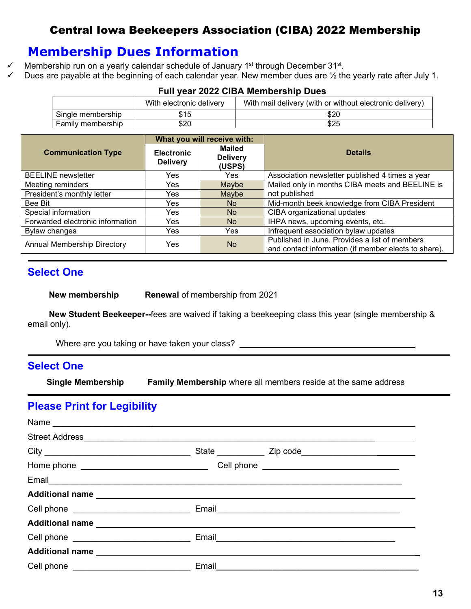## Central Iowa Beekeepers Association (CIBA) 2022 Membership

## **Membership Dues Information**

- $\checkmark$  Membership run on a yearly calendar schedule of January 1<sup>st</sup> through December 31<sup>st</sup>.
	- Dues are payable at the beginning of each calendar year. New member dues are ½ the yearly rate after July 1.

| LAIL YUAL EVEE UIDA MUHINUTSIIIN DAUS |                          |                                                          |  |
|---------------------------------------|--------------------------|----------------------------------------------------------|--|
|                                       | With electronic delivery | With mail delivery (with or without electronic delivery) |  |
| Single membership                     | \$15                     | \$20                                                     |  |
| Family membership                     | \$20                     | \$25                                                     |  |

### **Full year 2022 CIBA Membership Dues**

|                                    | What you will receive with:          |                                            |                                                                                                       |  |
|------------------------------------|--------------------------------------|--------------------------------------------|-------------------------------------------------------------------------------------------------------|--|
| <b>Communication Type</b>          | <b>Electronic</b><br><b>Delivery</b> | <b>Mailed</b><br><b>Delivery</b><br>(USPS) | <b>Details</b>                                                                                        |  |
| <b>BEELINE</b> newsletter          | Yes                                  | Yes.                                       | Association newsletter published 4 times a year                                                       |  |
| Meeting reminders                  | Yes                                  | Maybe                                      | Mailed only in months CIBA meets and BEELINE is                                                       |  |
| President's monthly letter         | Yes                                  | Maybe                                      | not published                                                                                         |  |
| Bee Bit                            | Yes                                  | No.                                        | Mid-month beek knowledge from CIBA President                                                          |  |
| Special information                | Yes                                  | <b>No</b>                                  | CIBA organizational updates                                                                           |  |
| Forwarded electronic information   | Yes                                  | <b>No</b>                                  | IHPA news, upcoming events, etc.                                                                      |  |
| <b>Bylaw changes</b>               | Yes                                  | Yes                                        | Infrequent association bylaw updates                                                                  |  |
| <b>Annual Membership Directory</b> | Yes                                  | <b>No</b>                                  | Published in June. Provides a list of members<br>and contact information (if member elects to share). |  |

## **Select One**

**New membership Renewal of membership from 2021** 

 **New Student Beekeeper--**fees are waived if taking a beekeeping class this year (single membership & email only).

Where are you taking or have taken your class?

### **Select One**

 **Single Membership Family Membership** where all members reside at the same address

## **Please Print for Legibility**

| Email experience and the service of the service of the service of the service of the service of the service of |  |
|----------------------------------------------------------------------------------------------------------------|--|
|                                                                                                                |  |
|                                                                                                                |  |
|                                                                                                                |  |
| Email 2008 2009 2009 2010 2021 2022 2023 2024 2022 2022 2023 2024 2022 2023 2024 2022 2023 2024 2025 2026 2027 |  |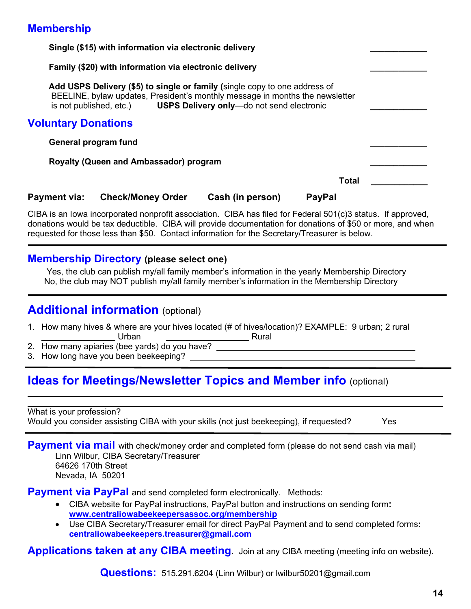## **Membership**

|                                        | Single (\$15) with information via electronic delivery                                                                                                                                                                          |                  |               |  |  |
|----------------------------------------|---------------------------------------------------------------------------------------------------------------------------------------------------------------------------------------------------------------------------------|------------------|---------------|--|--|
|                                        | Family (\$20) with information via electronic delivery                                                                                                                                                                          |                  |               |  |  |
|                                        | Add USPS Delivery (\$5) to single or family (single copy to one address of<br>BEELINE, bylaw updates, President's monthly message in months the newsletter<br>is not published, etc.) USPS Delivery only-do not send electronic |                  |               |  |  |
| <b>Voluntary Donations</b>             |                                                                                                                                                                                                                                 |                  |               |  |  |
|                                        | General program fund                                                                                                                                                                                                            |                  |               |  |  |
| Royalty (Queen and Ambassador) program |                                                                                                                                                                                                                                 |                  |               |  |  |
|                                        |                                                                                                                                                                                                                                 |                  | <b>Total</b>  |  |  |
| Payment via:                           | <b>Check/Money Order</b>                                                                                                                                                                                                        | Cash (in person) | <b>PayPal</b> |  |  |

CIBA is an Iowa incorporated nonprofit association. CIBA has filed for Federal 501(c)3 status. If approved, donations would be tax deductible. CIBA will provide documentation for donations of \$50 or more, and when requested for those less than \$50. Contact information for the Secretary/Treasurer is below.

### **Membership Directory (please select one)**

Yes, the club can publish my/all family member's information in the yearly Membership Directory No, the club may NOT publish my/all family member's information in the Membership Directory

## **Additional information** (optional)

- 1. How many hives & where are your hives located (# of hives/location)? EXAMPLE: 9 urban; 2 rural Urban <u>Channel Rural</u> Rural
- 2. How many apiaries (bee yards) do you have?
- 3. How long have you been beekeeping?

## **Ideas for Meetings/Newsletter Topics and Member info** (optional)

What is your profession? Would you consider assisting CIBA with your skills (not just beekeeping), if requested? Yes

**Payment via mail** with check/money order and completed form (please do not send cash via mail) Linn Wilbur, CIBA Secretary/Treasurer 64626 170th Street Nevada, IA 50201

**Payment via PayPal** and send completed form electronically. Methods:

- CIBA website for PayPal instructions, PayPal button and instructions on sending form**: [www.centraliowabeekeepersassoc.org/membership](https://www.centraliowabeekeepersassoc.org/membership)**
- Use CIBA Secretary/Treasurer email for direct PayPal Payment and to send completed forms**: centraliowabeekeepers.treasurer@gmail.com**

**Applications taken at any CIBA meeting.** Join at any CIBA meeting (meeting info on website).

**Questions:** 515.291.6204 (Linn Wilbur) or lwilbur50201@gmail.com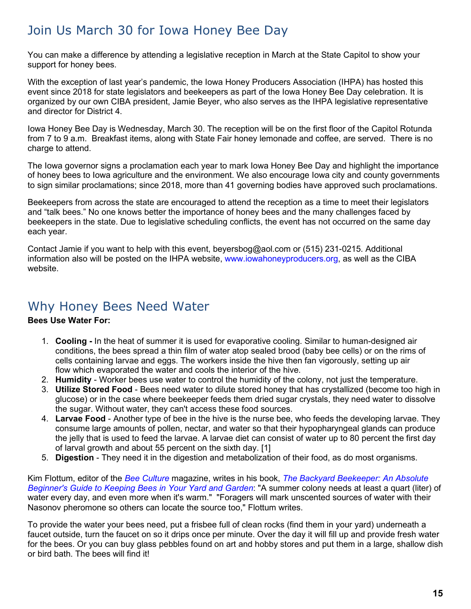## Join Us March 30 for Iowa Honey Bee Day

You can make a difference by attending a legislative reception in March at the State Capitol to show your support for honey bees.

With the exception of last year's pandemic, the Iowa Honey Producers Association (IHPA) has hosted this event since 2018 for state legislators and beekeepers as part of the Iowa Honey Bee Day celebration. It is organized by our own CIBA president, Jamie Beyer, who also serves as the IHPA legislative representative and director for District 4.

Iowa Honey Bee Day is Wednesday, March 30. The reception will be on the first floor of the Capitol Rotunda from 7 to 9 a.m. Breakfast items, along with State Fair honey lemonade and coffee, are served. There is no charge to attend.

The Iowa governor signs a proclamation each year to mark Iowa Honey Bee Day and highlight the importance of honey bees to Iowa agriculture and the environment. We also encourage Iowa city and county governments to sign similar proclamations; since 2018, more than 41 governing bodies have approved such proclamations.

Beekeepers from across the state are encouraged to attend the reception as a time to meet their legislators and "talk bees." No one knows better the importance of honey bees and the many challenges faced by beekeepers in the state. Due to legislative scheduling conflicts, the event has not occurred on the same day each year.

Contact Jamie if you want to help with this event, beyersbog@aol.com or (515) 231-0215. Additional information also will be posted on the IHPA website, [www.iowahoneyproducers.org,](http://www.iowahoneyproducers.org/) as well as the CIBA website.

## <span id="page-14-0"></span>Why Honey Bees Need Water

### **Bees Use Water For:**

- 1. **Cooling** In the heat of summer it is used for evaporative cooling. Similar to human-designed air conditions, the bees spread a thin film of water atop sealed brood (baby bee cells) or on the rims of cells containing larvae and eggs. The workers inside the hive then fan vigorously, setting up air flow which evaporated the water and cools the interior of the hive.
- 2. **Humidity** Worker bees use water to control the humidity of the colony, not just the temperature.
- 3. **Utilize Stored Food** Bees need water to dilute stored honey that has crystallized (become too high in glucose) or in the case where beekeeper feeds them dried sugar crystals, they need water to dissolve the sugar. Without water, they can't access these food sources.
- 4. **Larvae Food** Another type of bee in the hive is the nurse bee, who feeds the developing larvae. They consume large amounts of pollen, nectar, and water so that their hypopharyngeal glands can produce the jelly that is used to feed the larvae. A larvae diet can consist of water up to 80 percent the first day of larval growth and about 55 percent on the sixth day. [1]
- 5. **Digestion** They need it in the digestion and metabolization of their food, as do most organisms.

Kim Flottum, editor of the *[Bee Culture](http://ucanr.edu/blogs/blogcore/ http:/www.beeculture.com/)* magazine, writes in his book, *[The Backyard Beekeeper: An Absolute](http://www.barnesandnoble.com/w/backyard-beekeeper-kim-flottum/1101642613?ean=9781616738600)  [Beginner's Guide to Keeping Bees in Your Yard and Garden](http://www.barnesandnoble.com/w/backyard-beekeeper-kim-flottum/1101642613?ean=9781616738600)*: "A summer colony needs at least a quart (liter) of water every day, and even more when it's warm." "Foragers will mark unscented sources of water with their Nasonov pheromone so others can locate the source too," Flottum writes.

To provide the water your bees need, put a frisbee full of clean rocks (find them in your yard) underneath a faucet outside, turn the faucet on so it drips once per minute. Over the day it will fill up and provide fresh water for the bees. Or you can buy glass pebbles found on art and hobby stores and put them in a large, shallow dish or bird bath. The bees will find it!